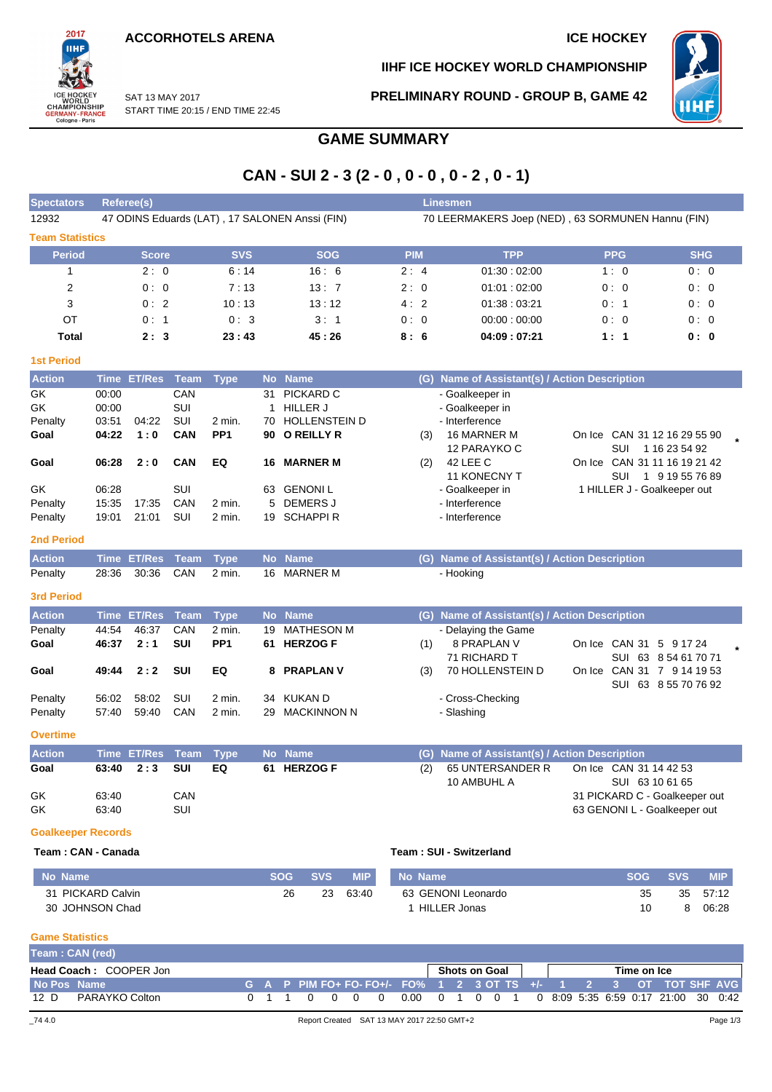**ACCORHOTELS ARENA ICE HOCKEY** 

START TIME 20:15 / END TIME 22:45

SAT 13 MAY 2017



**IIHF ICE HOCKEY WORLD CHAMPIONSHIP**

**PRELIMINARY ROUND - GROUP B, GAME 42**



### **GAME SUMMARY**

## **CAN - SUI 2 - 3 (2 - 0 , 0 - 0 , 0 - 2 , 0 - 1)**

| <b>Spectators</b>         |       | Referee(s)   |             |                 |           |                                                |                                                   | <b>Linesmen</b>                               |                                     |                             |            |  |  |  |  |  |  |
|---------------------------|-------|--------------|-------------|-----------------|-----------|------------------------------------------------|---------------------------------------------------|-----------------------------------------------|-------------------------------------|-----------------------------|------------|--|--|--|--|--|--|
| 12932                     |       |              |             |                 |           | 47 ODINS Eduards (LAT), 17 SALONEN Anssi (FIN) | 70 LEERMAKERS Joep (NED), 63 SORMUNEN Hannu (FIN) |                                               |                                     |                             |            |  |  |  |  |  |  |
| <b>Team Statistics</b>    |       |              |             |                 |           |                                                |                                                   |                                               |                                     |                             |            |  |  |  |  |  |  |
| <b>Period</b>             |       | <b>Score</b> |             | <b>SVS</b>      |           | <b>SOG</b>                                     | <b>PIM</b>                                        | <b>TPP</b>                                    | <b>PPG</b>                          |                             | <b>SHG</b> |  |  |  |  |  |  |
| 1                         |       | 2:0          |             | 6:14            |           | 16:6                                           | 2:4                                               | 01:30:02:00                                   | 1:0                                 |                             | 0:0        |  |  |  |  |  |  |
| 2                         |       | 0:0          |             | 7:13            |           | 13:7                                           | 2:0                                               | 01:01:02:00                                   | 0:0                                 |                             | 0:0        |  |  |  |  |  |  |
| 3                         |       | 0:2          |             | 10:13           |           | 13:12                                          | 4:2                                               | 01:38:03:21                                   | 0:1                                 |                             | 0:0        |  |  |  |  |  |  |
| OT                        |       | 0:1          |             | 0:3             |           | 3:1                                            | 0:0                                               | 00:00:00:00                                   | 0:0                                 |                             | 0:0        |  |  |  |  |  |  |
| <b>Total</b>              |       | 2:3          |             | 23:43           |           | 45:26                                          | 8:6                                               | 04:09:07:21                                   | 1:1                                 |                             | 0:0        |  |  |  |  |  |  |
| <b>1st Period</b>         |       |              |             |                 |           |                                                |                                                   |                                               |                                     |                             |            |  |  |  |  |  |  |
| <b>Action</b>             |       | Time ET/Res  | <b>Team</b> | <b>Type</b>     | <b>No</b> | <b>Name</b>                                    | (G)                                               | Name of Assistant(s) / Action Description     |                                     |                             |            |  |  |  |  |  |  |
| GK                        | 00:00 |              | CAN         |                 | 31        | PICKARD C                                      |                                                   | - Goalkeeper in                               |                                     |                             |            |  |  |  |  |  |  |
| GK                        | 00:00 |              | SUI         |                 | 1         | <b>HILLER J</b>                                |                                                   | - Goalkeeper in                               |                                     |                             |            |  |  |  |  |  |  |
| Penalty                   | 03:51 | 04:22        | SUI         | 2 min.          | 70        | <b>HOLLENSTEIN D</b>                           |                                                   | - Interference                                |                                     |                             |            |  |  |  |  |  |  |
| Goal                      | 04:22 | 1:0          | CAN         | PP <sub>1</sub> | 90        | <b>O REILLY R</b>                              | (3)                                               | 16 MARNER M                                   | On Ice CAN 31 12 16 29 55 90        |                             |            |  |  |  |  |  |  |
|                           |       |              |             | EQ              | 16        |                                                |                                                   | 12 PARAYKO C                                  | SUI                                 | 1 16 23 54 92               |            |  |  |  |  |  |  |
| Goal                      | 06:28 | 2:0          | <b>CAN</b>  |                 |           | <b>MARNER M</b>                                | (2)                                               | 42 LEE C<br>11 KONECNY T                      | On Ice CAN 31 11 16 19 21 42<br>SUI | 1 9 19 55 76 89             |            |  |  |  |  |  |  |
| GK                        | 06:28 |              | <b>SUI</b>  |                 | 63        | <b>GENONIL</b>                                 |                                                   | - Goalkeeper in                               |                                     | 1 HILLER J - Goalkeeper out |            |  |  |  |  |  |  |
| Penalty                   | 15:35 | 17:35        | CAN         | $2$ min.        | 5         | <b>DEMERS J</b>                                |                                                   | - Interference                                |                                     |                             |            |  |  |  |  |  |  |
| Penalty                   | 19:01 | 21:01        | SUI         | 2 min.          | 19        | <b>SCHAPPI R</b>                               |                                                   | - Interference                                |                                     |                             |            |  |  |  |  |  |  |
|                           |       |              |             |                 |           |                                                |                                                   |                                               |                                     |                             |            |  |  |  |  |  |  |
| 2nd Period                |       |              |             |                 |           |                                                |                                                   |                                               |                                     |                             |            |  |  |  |  |  |  |
| <b>Action</b>             |       | Time ET/Res  | <b>Team</b> | <b>Type</b>     |           | No Name                                        |                                                   | (G) Name of Assistant(s) / Action Description |                                     |                             |            |  |  |  |  |  |  |
| Penalty                   | 28:36 | 30:36        | CAN         | 2 min.          | 16        | <b>MARNER M</b>                                |                                                   | - Hooking                                     |                                     |                             |            |  |  |  |  |  |  |
| <b>3rd Period</b>         |       |              |             |                 |           |                                                |                                                   |                                               |                                     |                             |            |  |  |  |  |  |  |
| <b>Action</b>             |       | Time ET/Res  | Team        | <b>Type</b>     |           | No Name                                        |                                                   | (G) Name of Assistant(s) / Action Description |                                     |                             |            |  |  |  |  |  |  |
| Penalty                   | 44:54 | 46:37        | CAN         | 2 min.          | 19        | <b>MATHESON M</b>                              |                                                   | - Delaying the Game                           |                                     |                             |            |  |  |  |  |  |  |
| Goal                      | 46:37 | 2:1          | SUI         | PP <sub>1</sub> |           | 61 HERZOG F                                    | (1)                                               | 8 PRAPLAN V                                   | On Ice CAN 31 5 9 17 24             |                             |            |  |  |  |  |  |  |
|                           |       |              |             |                 |           |                                                |                                                   | 71 RICHARD T                                  |                                     | SUI 63 8 54 61 70 71        |            |  |  |  |  |  |  |
| Goal                      | 49:44 | 2:2          | SUI         | EQ              | 8         | <b>PRAPLAN V</b>                               | (3)                                               | 70 HOLLENSTEIN D                              | On Ice CAN 31 7 9 14 19 53          |                             |            |  |  |  |  |  |  |
| Penalty                   | 56:02 | 58:02        | SUI         | 2 min.          | 34        | KUKAN D                                        |                                                   | - Cross-Checking                              |                                     | SUI 63 8 55 70 76 92        |            |  |  |  |  |  |  |
| Penalty                   | 57:40 | 59:40        | CAN         | 2 min.          | 29        | <b>MACKINNON N</b>                             |                                                   | - Slashing                                    |                                     |                             |            |  |  |  |  |  |  |
|                           |       |              |             |                 |           |                                                |                                                   |                                               |                                     |                             |            |  |  |  |  |  |  |
| <b>Overtime</b>           |       |              |             |                 |           |                                                |                                                   |                                               |                                     |                             |            |  |  |  |  |  |  |
| <b>Action</b>             |       | Time ET/Res  | Team        | <b>Type</b>     |           | No Name                                        |                                                   | (G) Name of Assistant(s) / Action Description |                                     |                             |            |  |  |  |  |  |  |
| Goal                      | 63:40 | 2:3          | SUI         | EQ              |           | 61 HERZOG F                                    | (2)                                               | 65 UNTERSANDER R On Ice CAN 31 14 42 53       |                                     |                             |            |  |  |  |  |  |  |
|                           |       |              |             |                 |           |                                                |                                                   | 10 AMBUHL A                                   |                                     | SUI 63 10 61 65             |            |  |  |  |  |  |  |
| GK                        | 63:40 |              | CAN         |                 |           |                                                |                                                   |                                               | 31 PICKARD C - Goalkeeper out       |                             |            |  |  |  |  |  |  |
| GK                        | 63:40 |              | SUI         |                 |           |                                                |                                                   |                                               | 63 GENONI L - Goalkeeper out        |                             |            |  |  |  |  |  |  |
| <b>Goalkeeper Records</b> |       |              |             |                 |           |                                                |                                                   |                                               |                                     |                             |            |  |  |  |  |  |  |
| Team: CAN - Canada        |       |              |             |                 |           |                                                |                                                   | Team: SUI - Switzerland                       |                                     |                             |            |  |  |  |  |  |  |
| No Name                   |       |              |             |                 |           | <b>SVS</b><br><b>SOG</b><br><b>MIP</b>         | No Name                                           |                                               |                                     | <b>SVS</b><br><b>SOG</b>    | <b>MIP</b> |  |  |  |  |  |  |
| 31 PICKARD Calvin         |       |              |             |                 |           | 26<br>23<br>63:40                              |                                                   | 63 GENONI Leonardo                            |                                     | 35<br>35                    | 57:12      |  |  |  |  |  |  |
| 30 JOHNSON Chad           |       |              |             |                 |           |                                                |                                                   | 1 HILLER Jonas                                |                                     | 8<br>10                     | 06:28      |  |  |  |  |  |  |
|                           |       |              |             |                 |           |                                                |                                                   |                                               |                                     |                             |            |  |  |  |  |  |  |
| <b>Game Statistics</b>    |       |              |             |                 |           |                                                |                                                   |                                               |                                     |                             |            |  |  |  |  |  |  |

#### **Team : CAN (red) Head Coach :** COOPER Jon **Shots on Goal Shots on Goal Time on Ice** No Pos Name G A P PIM FO+ FO- FO+/- FO% 1 2 3 OT TS +/- 1 2 3 OT TOT SHF AVG 12 D PARAYKO Colton 0 1 1 0 0 0 0 0.00 0 1 0 0 1 0 8:09 5:35 6:59 0:17 21:00 30 0:42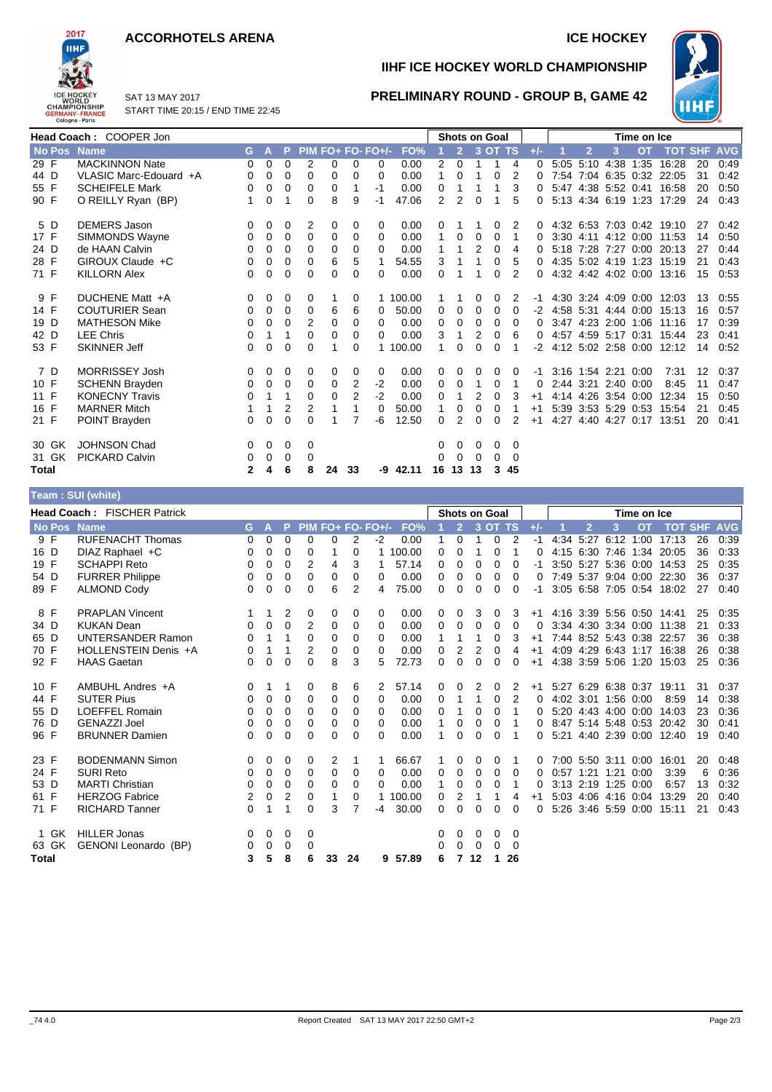#### **ACCORHOTELS ARENA ICE HOCKEY**



**IIHF ICE HOCKEY WORLD CHAMPIONSHIP**

**PRELIMINARY ROUND - GROUP B, GAME 42**



SAT 13 MAY 2017 START TIME 20:15 / END TIME 22:45

|             | Head Coach: COOPER Jon    |          |          |             |            |          |          |                      |            |              |                |          | <b>Shots on Goal</b> |          |       |      |                |                     | Time on Ice |                           |            |            |
|-------------|---------------------------|----------|----------|-------------|------------|----------|----------|----------------------|------------|--------------|----------------|----------|----------------------|----------|-------|------|----------------|---------------------|-------------|---------------------------|------------|------------|
| No Pos Name |                           | G        | А        | P           | <b>PIM</b> |          |          | <b>FO+ FO- FO+/-</b> | FO%        |              | $\overline{2}$ |          | $3$ OT TS            |          | $+/-$ |      | $\overline{2}$ | 3                   | <b>OT</b>   | <b>TOT</b>                | <b>SHF</b> | <b>AVG</b> |
| 29 F        | <b>MACKINNON Nate</b>     | 0        | $\Omega$ | $\Omega$    | 2          | 0        | $\Omega$ | 0                    | 0.00       | 2            | $\Omega$       |          | 1                    | 4        |       | 5:05 |                | 5:10 4:38           | 1:35        | 16:28                     | 20         | 0:49       |
| 44 D        | VLASIC Marc-Edouard +A    | 0        | 0        | $\Omega$    | 0          | 0        | 0        | 0                    | 0.00       | 1            | 0              |          | $\Omega$             | 2        |       |      |                |                     |             | 7:54 7:04 6:35 0:32 22:05 | 31         | 0:42       |
| 55 F        | <b>SCHEIFELE Mark</b>     | 0        | 0        | 0           | 0          | 0        |          | $-1$                 | 0.00       | 0            |                |          |                      | 3        |       |      |                |                     |             | 5:47 4:38 5:52 0:41 16:58 | 20         | 0:50       |
| 90 F        | O REILLY Ryan (BP)        |          | 0        |             | $\Omega$   | 8        | 9        | $-1$                 | 47.06      | 2            | 2              | 0        |                      | 5        |       |      |                |                     |             | 5:13 4:34 6:19 1:23 17:29 | 24         | 0:43       |
| 5 D         | <b>DEMERS Jason</b>       | 0        | 0        | 0           | 2          | 0        | 0        | 0                    | 0.00       | 0            |                |          | 0                    | 2        |       |      |                |                     |             | 4:32 6:53 7:03 0:42 19:10 | 27         | 0:42       |
| 17 F        | SIMMONDS Wayne            | 0        | 0        | $\mathbf 0$ | $\Omega$   | 0        | 0        | 0                    | 0.00       | 1            | 0              | 0        | 0                    | 1        |       |      |                |                     |             | 3:30 4:11 4:12 0:00 11:53 | 14         | 0:50       |
| 24 D        | de HAAN Calvin            | 0        | $\Omega$ | $\Omega$    | 0          | 0        | 0        | $\Omega$             | 0.00       |              |                |          | 0                    | 4        |       |      |                |                     |             | 5:18 7:28 7:27 0:00 20:13 | 27         | 0:44       |
| 28 F        | GIROUX Claude +C          | 0        | 0        | 0           | $\Omega$   | 6        | 5        | 1                    | 54.55      | 3            |                |          | 0                    | 5        |       |      |                |                     |             | 4:35 5:02 4:19 1:23 15:19 | 21         | 0:43       |
| 71 F        | <b>KILLORN Alex</b>       | 0        | 0        | 0           | 0          | 0        | 0        | 0                    | 0.00       | 0            |                |          | 0                    | 2        | ∩.    |      |                |                     |             | 4:32 4:42 4:02 0:00 13:16 | 15         | 0:53       |
| 9 F         | DUCHENE Matt +A           | 0        | 0        | 0           | 0          | 1        | 0        |                      | 1 100.00   |              |                | 0        | 0                    | 2        |       |      |                |                     |             | 4:30 3:24 4:09 0:00 12:03 | 13         | 0:55       |
| 14 F        | <b>COUTURIER Sean</b>     | 0        | 0        | 0           | 0          | 6        | 6        | 0                    | 50.00      | 0            | 0              | 0        | 0                    | 0        | -2    |      |                |                     |             | 4:58 5:31 4:44 0:00 15:13 | 16         | 0:57       |
| 19 D        | <b>MATHESON Mike</b>      | 0        | 0        | $\Omega$    | 2          | 0        | 0        | 0                    | 0.00       | 0            | 0              | $\Omega$ | $\Omega$             | $\Omega$ |       |      |                |                     |             | 3:47 4:23 2:00 1:06 11:16 | 17         | 0:39       |
| 42 D        | <b>LEE Chris</b>          | 0        |          |             | 0          | 0        | 0        | $\Omega$             | 0.00       | 3            |                | 2        | 0                    | 6        |       |      |                |                     |             | 4:57 4:59 5:17 0:31 15:44 | 23         | 0:41       |
| 53 F        | <b>SKINNER Jeff</b>       | $\Omega$ | $\Omega$ | $\Omega$    | $\Omega$   | 1        | 0        |                      | 1 100.00   |              | 0              | $\Omega$ | 0                    |          | -2    |      |                |                     |             | 4:12 5:02 2:58 0:00 12:12 | 14         | 0:52       |
| 7 D         | <b>MORRISSEY Josh</b>     | 0        | 0        | 0           | 0          | 0        | 0        | 0                    | 0.00       | 0            | 0              | $\Omega$ | 0                    | $\Omega$ | -1    |      |                | 3:16 1:54 2:21 0:00 |             | 7:31                      | 12         | 0:37       |
| 10 F        | <b>SCHENN Brayden</b>     | 0        | 0        | $\mathbf 0$ | 0          | 0        | 2        | $-2$                 | 0.00       | 0            | 0              |          | 0                    |          | 0     |      |                | 2:44 3:21 2:40 0:00 |             | 8:45                      | 11         | 0:47       |
| 11 F        | <b>KONECNY Travis</b>     | 0        |          | 1           | 0          | $\Omega$ | 2        | $-2$                 | 0.00       | 0            |                |          | 0                    | 3        | $+1$  |      |                | 4:14 4:26 3:54 0:00 |             | 12:34                     | 15         | 0:50       |
| 16 F        | <b>MARNER Mitch</b>       |          |          | 2           | 2          |          |          | $\Omega$             | 50.00      |              | 0              | $\Omega$ | 0                    |          | $+1$  |      |                |                     |             | 5:39 3:53 5:29 0:53 15:54 | 21         | 0:45       |
| 21 F        | POINT Brayden             | 0        | $\Omega$ | $\Omega$    | $\Omega$   | 1        | 7        | -6                   | 12.50      | <sup>0</sup> | 2              | $\Omega$ | $\Omega$             | 2        | $+1$  |      |                |                     |             | 4:27 4:40 4:27 0:17 13:51 | 20         | 0:41       |
| 30 GK       | <b>JOHNSON Chad</b>       | 0        | 0        | 0           | 0          |          |          |                      |            | 0            | 0              | 0        | 0                    | 0        |       |      |                |                     |             |                           |            |            |
| 31 GK       | <b>PICKARD Calvin</b>     | 0        | 0        | 0           | 0          |          |          |                      |            | 0            | $\Omega$       | $\Omega$ | $\Omega$             | $\Omega$ |       |      |                |                     |             |                           |            |            |
| Total       |                           | 2        | 4        | 6           | 8          | 24       | 33       |                      | $-9$ 42.11 | 16           | 13             | 13       | 3                    | 45       |       |      |                |                     |             |                           |            |            |
|             | $Taam \cdot$ SIII (white) |          |          |             |            |          |          |                      |            |              |                |          |                      |          |       |      |                |                     |             |                           |            |            |

| $1$ van $1$ vvi (williv) |                                    |    |          |   |          |          |                |                     |         |          |                |          |                      |                |       |             |                     |           |                           |            |            |
|--------------------------|------------------------------------|----|----------|---|----------|----------|----------------|---------------------|---------|----------|----------------|----------|----------------------|----------------|-------|-------------|---------------------|-----------|---------------------------|------------|------------|
|                          | <b>Head Coach: FISCHER Patrick</b> |    |          |   |          |          |                |                     |         |          |                |          | <b>Shots on Goal</b> |                |       | Time on Ice |                     |           |                           |            |            |
| <b>No Pos</b>            | <b>Name</b>                        | G. |          | P |          |          |                | $PIM FO+ FO- FO+/-$ | FO%     |          | $\overline{2}$ |          | 3 OT TS              |                | $+/-$ | 12          | 3                   | <b>OT</b> | <b>TOT</b>                | <b>SHF</b> | <b>AVG</b> |
| 9 F                      | <b>RUFENACHT Thomas</b>            | 0  | $\Omega$ | 0 | 0        | 0        | $\overline{2}$ | -2                  | 0.00    | 1        | $\Omega$       | 1        | $\Omega$             | 2              | -1    | 4:34 5:27   | 6:12                | 1:00      | 17:13                     | 26         | 0:39       |
| 16 D                     | DIAZ Raphael +C                    | 0  | 0        | 0 | 0        |          | 0              |                     | 100.00  | 0        | $\Omega$       |          | 0                    |                | 0     | $4:15$ 6:30 | 7:46                |           | 1:34 20:05                | 36         | 0:33       |
| 19 F                     | <b>SCHAPPI Reto</b>                | 0  | 0        | 0 | 2        | 4        | 3              |                     | 57.14   | 0        | 0              | $\Omega$ | $\Omega$             | 0              | -1    |             |                     |           | 3:50 5:27 5:36 0:00 14:53 | 25         | 0:35       |
| 54 D                     | <b>FURRER Philippe</b>             | 0  | 0        | 0 | 0        | 0        | 0              | 0                   | 0.00    | 0        | 0              | 0        | 0                    | 0              | 0     |             | 7:49 5:37 9:04 0:00 |           | 22:30                     | 36         | 0:37       |
| 89 F                     | <b>ALMOND Cody</b>                 | 0  | 0        | 0 | 0        | 6        | $\overline{2}$ | 4                   | 75.00   | 0        | $\Omega$       | 0        | 0                    | 0              | -1    |             |                     |           | 3:05 6:58 7:05 0:54 18:02 | 27         | 0:40       |
| 8 F                      | <b>PRAPLAN Vincent</b>             | 1  | 1        | 2 | 0        | 0        | 0              | 0                   | 0.00    | 0        | 0              | 3        | 0                    | 3              | $+1$  |             |                     |           | 4:16 3:39 5:56 0:50 14:41 | 25         | 0:35       |
| 34 D                     | <b>KUKAN Dean</b>                  | 0  | $\Omega$ | 0 | 2        | 0        | 0              | 0                   | 0.00    | 0        | $\Omega$       | 0        | $\Omega$             | $\Omega$       | 0     |             |                     |           | 3:34 4:30 3:34 0:00 11:38 | 21         | 0:33       |
| 65 D                     | <b>UNTERSANDER Ramon</b>           | 0  |          | 1 | 0        | 0        | 0              | $\Omega$            | 0.00    |          |                |          | 0                    | 3              | $+1$  |             |                     |           | 7:44 8:52 5:43 0:38 22:57 | 36         | 0:38       |
| 70 F                     | HOLLENSTEIN Denis +A               | 0  |          |   | 2        | 0        | 0              | $\Omega$            | 0.00    | 0        |                |          | $\Omega$             | 4              | $+1$  |             |                     |           | 4:09 4:29 6:43 1:17 16:38 | 26         | 0:38       |
| 92 F                     | <b>HAAS Gaetan</b>                 | 0  | 0        | 0 | $\Omega$ | 8        | 3              | 5                   | 72.73   | 0        | $\Omega$       | $\Omega$ | $\Omega$             | $\Omega$       | $+1$  |             |                     |           | 4:38 3:59 5:06 1:20 15:03 | 25         | 0:36       |
| 10 F                     | AMBUHL Andres +A                   | 0  |          | 1 | 0        | 8        | 6              | 2                   | 57.14   | 0        | 0              | 2        | 0                    | 2              | $+1$  |             |                     |           | 5:27 6:29 6:38 0:37 19:11 | 31         | 0:37       |
| 44 F                     | <b>SUTER Pius</b>                  | 0  | 0        | 0 | 0        | 0        | 0              | $\Omega$            | 0.00    | 0        | 1              | 1        | $\Omega$             | $\overline{2}$ | 0     |             | 4:02 3:01 1:56 0:00 |           | 8:59                      | 14         | 0:38       |
| 55 D                     | <b>LOEFFEL Romain</b>              | 0  | 0        | 0 | $\Omega$ | 0        | 0              | 0                   | 0.00    | 0        | 1              | 0        | 0                    |                | 0     |             | 5:20 4:43 4:00 0:00 |           | 14:03                     | 23         | 0:36       |
| 76 D                     | <b>GENAZZI Joel</b>                | 0  | 0        | 0 | 0        | 0        | 0              | 0                   | 0.00    |          | 0              | 0        | 0                    |                | 0     |             |                     |           | 8:47 5:14 5:48 0:53 20:42 | 30         | 0:41       |
| 96 F                     | <b>BRUNNER Damien</b>              | 0  | 0        | 0 | $\Omega$ | $\Omega$ | 0              | 0                   | 0.00    |          | 0              | 0        | 0                    |                | 0     |             |                     |           | 5:21 4:40 2:39 0:00 12:40 | 19         | 0:40       |
| 23 F                     | <b>BODENMANN Simon</b>             | 0  | 0        | 0 | 0        | 2        |                |                     | 66.67   |          | 0              | 0        | 0                    |                | 0     |             | 7:00 5:50 3:11 0:00 |           | 16:01                     | 20         | 0:48       |
| 24 F                     | <b>SURI Reto</b>                   | 0  | 0        | 0 | 0        | 0        | 0              | 0                   | 0.00    | 0        | 0              | 0        | 0                    | 0              | 0     |             | 0:57 1:21 1:21 0:00 |           | 3:39                      | 6          | 0:36       |
| 53 D                     | <b>MARTI Christian</b>             | 0  | 0        | 0 | $\Omega$ | 0        | 0              | $\Omega$            | 0.00    | 1        | 0              | 0        | 0                    |                | 0     |             | 3:13 2:19 1:25 0:00 |           | 6:57                      | 13         | 0:32       |
| 61 F                     | <b>HERZOG Fabrice</b>              | 2  | 0        | 2 | 0        |          | 0              |                     | 100.00  | 0        | 2              |          |                      | 4              | $+1$  |             | 5:03 4:06 4:16 0:04 |           | 13:29                     | 20         | 0:40       |
| 71 F                     | <b>RICHARD Tanner</b>              | 0  | 1        | 1 | $\Omega$ | 3        | 7              | -4                  | 30.00   | $\Omega$ | $\Omega$       | $\Omega$ | $\Omega$             | $\Omega$       | 0     |             | 5:26 3:46 5:59 0:00 |           | 15:11                     | 21         | 0.43       |
| 1 GK                     | <b>HILLER Jonas</b>                | 0  | 0        | 0 | 0        |          |                |                     |         | 0        | $\Omega$       | 0        | 0                    | 0              |       |             |                     |           |                           |            |            |
| 63 GK                    | GENONI Leonardo (BP)               | 0  | 0        | 0 | 0        |          |                |                     |         | 0        | $\Omega$       | $\Omega$ | 0                    | $\Omega$       |       |             |                     |           |                           |            |            |
| <b>Total</b>             |                                    | 3  | 5        | 8 | 6        | 33       | 24             |                     | 9 57.89 | 6        | 7              | 12       | $\mathbf{1}$         | 26             |       |             |                     |           |                           |            |            |